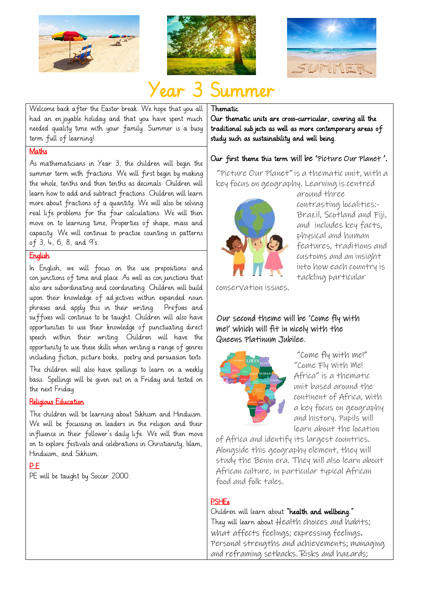





# Year 3 Summer

Welcome back after the Easter break. We hope that you all had an enjoyable holiday and that you have spent much needed quality time with your family. Summer is a busy term full of learning!

#### Thematic

Our thematic units are cross-curricular, covering all the traditional subjects as well as more contemporary areas of study such as sustainability and well being.

### **Maths**

As mathematicians in Year 3, the children will begin the summer term with fractions. We will first begin by making the whole, tenths and then tenths as decimals. Children will learn how to add and subtract fractions. Children will learn more about fractions of a quantity. We will also be solving real life problems for the four calculations. We will then move on to learning time, Properties of shape, mass and capacity. We will continue to practise counting in patterns of 3, 4, 6, 8, and 9's.

#### **English**

In English, we will focus on the use prepositions and con junctions of time and place. As well as con junctions that also are subordinating and coordinating. Children will build upon their knowledge of ad jectives within expanded noun phrases and apply this in their writing. Prefixes and suffixes will continue to be taught. Children will also have opportunities to use their knowledge of punctuating direct speech within their writing. Children will have the opportunity to use these skills when writing a range of genres including fiction, picture books, poetry and persuasion texts.

The children will also have spellings to learn on a weekly basis. Spellings will be given out on a Friday and tested on the next Friday.

#### Religious Education

The children will be learning about Sikhism and Hinduism. We will be focussing on leaders in the religion and their influence in their follower's daily life. We will then move on to explore festivals and celebrations in Christianity, Islam, Hinduism, and Sikhism.

#### P.E

PE will be taught by Soccer 2000.

## Our first theme this term will be 'Picture Our Planet '.

"Picture Our Planet"is a thematic unit, with a key focus on geography. Learning is centred around three



contrasting localities:- Brazil, Scotland and Fiji, and includes key facts, physical and human features, traditions and customs and an insight into how each country is tackling particular

conservation issues.

#### Our second theme will be 'Come fly with me!' which will fit in nicely with the Queens Platinum Jubilee.



"Come fly with me!" "Come Fly With Me! Africa" is a thematic unit based around the continent of Africa, with a key focus on geography and history. Pupils will learn about the location

of Africa and identify its largest countries. Alongside this geography element, they will study the Benin era. They will also learn about African culture, in particular typical African food and folk tales.

#### **PSHEe**

Children will learn about "health and wellbeing." They will learn about Health choices and habits; what affects feelings; expressing feelings. Personal strengths and achievements; managing and reframing setbacks. Risks and hazards;